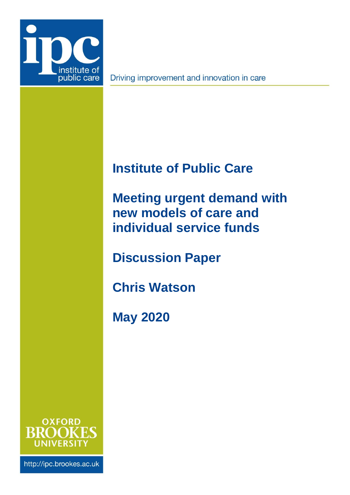

Driving improvement and innovation in care

# <span id="page-0-2"></span>**Institute of Public Care**

<span id="page-0-0"></span>**Meeting urgent demand with new models of care and individual service funds**

**Discussion Paper**

**Chris Watson**

<span id="page-0-1"></span>**May 2020**



http://ipc.brookes.ac.uk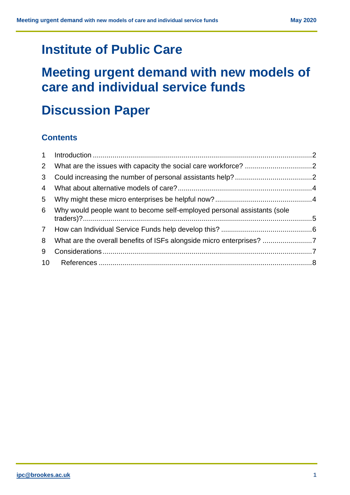# **[Institute of Public Care](#page-0-2)**

# **[Meeting urgent demand with new models of](#page-0-0)  [care and individual service funds](#page-0-0)**

# **Discussion Paper**

# **Contents**

| $2^{\circ}$ |                                                                         |  |
|-------------|-------------------------------------------------------------------------|--|
| 3           |                                                                         |  |
| 4           |                                                                         |  |
| 5           |                                                                         |  |
| 6           | Why would people want to become self-employed personal assistants (sole |  |
|             |                                                                         |  |
| 8           |                                                                         |  |
| 9           |                                                                         |  |
|             |                                                                         |  |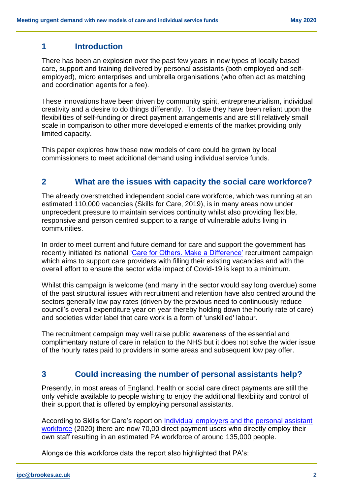## <span id="page-2-0"></span>**1 Introduction**

There has been an explosion over the past few years in new types of locally based care, support and training delivered by personal assistants (both employed and selfemployed), micro enterprises and umbrella organisations (who often act as matching and coordination agents for a fee).

These innovations have been driven by community spirit, entrepreneurialism, individual creativity and a desire to do things differently. To date they have been reliant upon the flexibilities of self-funding or direct payment arrangements and are still relatively small scale in comparison to other more developed elements of the market providing only limited capacity.

This paper explores how these new models of care could be grown by local commissioners to meet additional demand using individual service funds.

## <span id="page-2-1"></span>**2 What are the issues with capacity the social care workforce?**

The already overstretched independent social care workforce, which was running at an estimated 110,000 vacancies (Skills for Care, 2019), is in many areas now under unprecedent pressure to maintain services continuity whilst also providing flexible, responsive and person centred support to a range of vulnerable adults living in communities.

In order to meet current and future demand for care and support the government has recently initiated its national ['Care for Others. Make a Difference'](https://www.everydayisdifferent.com/home.aspx) recruitment campaign which aims to support care providers with filling their existing vacancies and with the overall effort to ensure the sector wide impact of Covid-19 is kept to a minimum.

Whilst this campaign is welcome (and many in the sector would say long overdue) some of the past structural issues with recruitment and retention have also centred around the sectors generally low pay rates (driven by the previous need to continuously reduce council's overall expenditure year on year thereby holding down the hourly rate of care) and societies wider label that care work is a form of 'unskilled' labour.

The recruitment campaign may well raise public awareness of the essential and complimentary nature of care in relation to the NHS but it does not solve the wider issue of the hourly rates paid to providers in some areas and subsequent low pay offer.

# <span id="page-2-2"></span>**3 Could increasing the number of personal assistants help?**

Presently, in most areas of England, health or social care direct payments are still the only vehicle available to people wishing to enjoy the additional flexibility and control of their support that is offered by employing personal assistants.

According to Skills for Care's report on Individual employers and the personal assistant [workforce](https://www.skillsforcare.org.uk/adult-social-care-workforce-data/Workforce-intelligence/documents/Individual-employers-and-the-PA-workforce.pdf) (2020) there are now 70,00 direct payment users who directly employ their own staff resulting in an estimated PA workforce of around 135,000 people.

Alongside this workforce data the report also highlighted that PA's: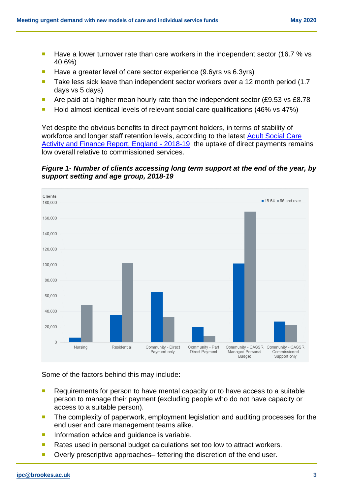- Have a lower turnover rate than care workers in the independent sector (16.7 % vs 40.6%)
- Have a greater level of care sector experience (9.6yrs vs 6.3yrs)
- Take less sick leave than independent sector workers over a 12 month period (1.7) days vs 5 days)
- Are paid at a higher mean hourly rate than the independent sector (£9.53 vs £8.78)
- Hold almost identical levels of relevant social care qualifications (46% vs 47%)

Yet despite the obvious benefits to direct payment holders, in terms of stability of workforce and longer staff retention levels, according to the latest Adult Social Care [Activity and Finance Report, England -](https://digital.nhs.uk/data-and-information/publications/statistical/adult-social-care-activity-and-finance-report/2018-19/4.-long-term-care#long-term-care-expenditure-by-support-setting) 2018-19 the uptake of direct payments remains low overall relative to commissioned services.

*Figure 1- Number of clients accessing long term support at the end of the year, by support setting and age group, 2018-19*



Some of the factors behind this may include:

- Requirements for person to have mental capacity or to have access to a suitable person to manage their payment (excluding people who do not have capacity or access to a suitable person).
- **The complexity of paperwork, employment legislation and auditing processes for the** end user and care management teams alike.
- **Information advice and guidance is variable.**
- **Rates used in personal budget calculations set too low to attract workers.**
- Overly prescriptive approaches– fettering the discretion of the end user.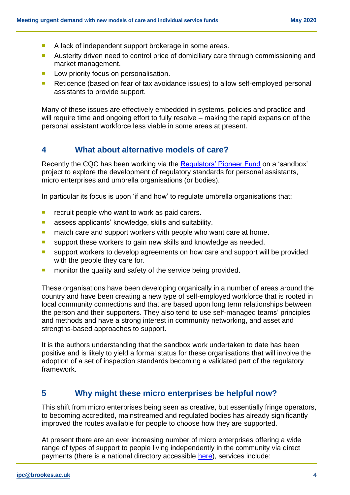- A lack of independent support brokerage in some areas.
- **Austerity driven need to control price of domiciliary care through commissioning and** market management.
- **Low priority focus on personalisation.**
- Reticence (based on fear of tax avoidance issues) to allow self-employed personal assistants to provide support.

Many of these issues are effectively embedded in systems, policies and practice and will require time and ongoing effort to fully resolve – making the rapid expansion of the personal assistant workforce less viable in some areas at present.

### <span id="page-4-0"></span>**4 What about alternative models of care?**

Recently the CQC has been working via the [Regulators' Pioneer Fund](https://www.gov.uk/government/news/projects-lay-the-groundwork-for-a-future-of-robolawyers-and-flying-cars) on a 'sandbox' project to explore the development of regulatory standards for personal assistants, micro enterprises and umbrella organisations (or bodies).

In particular its focus is upon 'if and how' to regulate umbrella organisations that:

- $\blacksquare$  recruit people who want to work as paid carers.
- **assess applicants' knowledge, skills and suitability.**
- **numation care and support workers with people who want care at home.**
- **E** support these workers to gain new skills and knowledge as needed.
- **EX Support workers to develop agreements on how care and support will be provided** with the people they care for.
- **number 1** monitor the quality and safety of the service being provided.

These organisations have been developing organically in a number of areas around the country and have been creating a new type of self-employed workforce that is rooted in local community connections and that are based upon long term relationships between the person and their supporters. They also tend to use self-managed teams' principles and methods and have a strong interest in community networking, and asset and strengths-based approaches to support.

It is the authors understanding that the sandbox work undertaken to date has been positive and is likely to yield a formal status for these organisations that will involve the adoption of a set of inspection standards becoming a validated part of the regulatory framework.

# <span id="page-4-1"></span>**5 Why might these micro enterprises be helpful now?**

This shift from micro enterprises being seen as creative, but essentially fringe operators, to becoming accredited, mainstreamed and regulated bodies has already significantly improved the routes available for people to choose how they are supported.

At present there are an ever increasing number of micro enterprises offering a wide range of types of support to people living independently in the community via direct payments (there is a national directory accessible [here\)](https://www.smallgoodstuff.co.uk/), services include: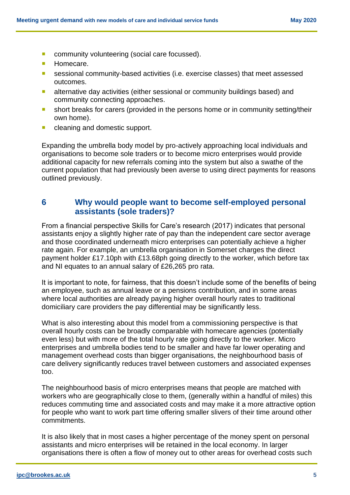- **Community volunteering (social care focussed).**
- **Homecare.**
- sessional community-based activities (i.e. exercise classes) that meet assessed outcomes.
- **E** alternative day activities (either sessional or community buildings based) and community connecting approaches.
- **short breaks for carers (provided in the persons home or in community setting/their** own home).
- **E** cleaning and domestic support.

Expanding the umbrella body model by pro-actively approaching local individuals and organisations to become sole traders or to become micro enterprises would provide additional capacity for new referrals coming into the system but also a swathe of the current population that had previously been averse to using direct payments for reasons outlined previously.

## <span id="page-5-0"></span>**6 Why would people want to become self-employed personal assistants (sole traders)?**

From a financial perspective Skills for Care's research (2017) indicates that personal assistants enjoy a slightly higher rate of pay than the independent care sector average and those coordinated underneath micro enterprises can potentially achieve a higher rate again. For example, an umbrella organisation in Somerset charges the direct payment holder £17.10ph with £13.68ph going directly to the worker, which before tax and NI equates to an annual salary of £26,265 pro rata.

It is important to note, for fairness, that this doesn't include some of the benefits of being an employee, such as annual leave or a pensions contribution, and in some areas where local authorities are already paying higher overall hourly rates to traditional domiciliary care providers the pay differential may be significantly less.

What is also interesting about this model from a commissioning perspective is that overall hourly costs can be broadly comparable with homecare agencies (potentially even less) but with more of the total hourly rate going directly to the worker. Micro enterprises and umbrella bodies tend to be smaller and have far lower operating and management overhead costs than bigger organisations, the neighbourhood basis of care delivery significantly reduces travel between customers and associated expenses too.

The neighbourhood basis of micro enterprises means that people are matched with workers who are geographically close to them, (generally within a handful of miles) this reduces commuting time and associated costs and may make it a more attractive option for people who want to work part time offering smaller slivers of their time around other commitments.

It is also likely that in most cases a higher percentage of the money spent on personal assistants and micro enterprises will be retained in the local economy. In larger organisations there is often a flow of money out to other areas for overhead costs such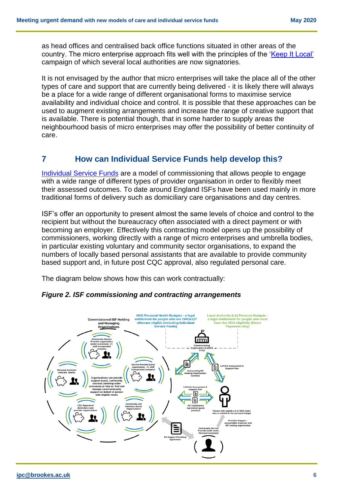as head offices and centralised back office functions situated in other areas of the country. The micro enterprise approach fits well with the principles of the ['Keep It Local'](https://locality.org.uk/policy-campaigns/keep-it-local/) campaign of which several local authorities are now signatories.

It is not envisaged by the author that micro enterprises will take the place all of the other types of care and support that are currently being delivered - it is likely there will always be a place for a wide range of different organisational forms to maximise service availability and individual choice and control. It is possible that these approaches can be used to augment existing arrangements and increase the range of creative support that is available. There is potential though, that in some harder to supply areas the neighbourhood basis of micro enterprises may offer the possibility of better continuity of care.

## <span id="page-6-0"></span>**7 How can Individual Service Funds help develop this?**

[Individual Service Funds](https://www.thinklocalactpersonal.org.uk/Latest/Beyond-direct-payments/) are a model of commissioning that allows people to engage with a wide range of different types of provider organisation in order to flexibly meet their assessed outcomes. To date around England ISFs have been used mainly in more traditional forms of delivery such as domiciliary care organisations and day centres.

ISF's offer an opportunity to present almost the same levels of choice and control to the recipient but without the bureaucracy often associated with a direct payment or with becoming an employer. Effectively this contracting model opens up the possibility of commissioners, working directly with a range of micro enterprises and umbrella bodies, in particular existing voluntary and community sector organisations, to expand the numbers of locally based personal assistants that are available to provide community based support and, in future post CQC approval, also regulated personal care.

The diagram below shows how this can work contractually:



*Figure 2. ISF commissioning and contracting arrangements*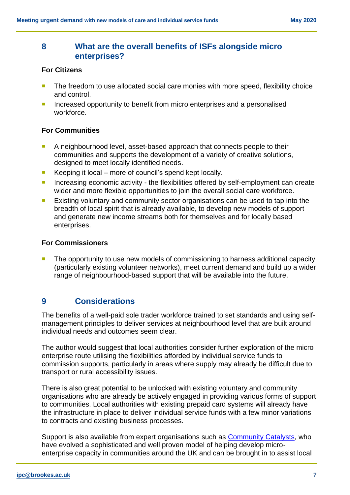## <span id="page-7-0"></span>**8 What are the overall benefits of ISFs alongside micro enterprises?**

#### **For Citizens**

- The freedom to use allocated social care monies with more speed, flexibility choice and control.
- Increased opportunity to benefit from micro enterprises and a personalised workforce.

#### **For Communities**

- A neighbourhood level, asset-based approach that connects people to their communities and supports the development of a variety of creative solutions, designed to meet locally identified needs.
- Keeping it local more of council's spend kept locally.
- **Increasing economic activity the flexibilities offered by self-employment can create** wider and more flexible opportunities to join the overall social care workforce.
- **Existing voluntary and community sector organisations can be used to tap into the** breadth of local spirit that is already available, to develop new models of support and generate new income streams both for themselves and for locally based enterprises.

#### **For Commissioners**

 The opportunity to use new models of commissioning to harness additional capacity (particularly existing volunteer networks), meet current demand and build up a wider range of neighbourhood-based support that will be available into the future.

## <span id="page-7-1"></span>**9 Considerations**

The benefits of a well-paid sole trader workforce trained to set standards and using selfmanagement principles to deliver services at neighbourhood level that are built around individual needs and outcomes seem clear.

The author would suggest that local authorities consider further exploration of the micro enterprise route utilising the flexibilities afforded by individual service funds to commission supports, particularly in areas where supply may already be difficult due to transport or rural accessibility issues.

There is also great potential to be unlocked with existing voluntary and community organisations who are already be actively engaged in providing various forms of support to communities. Local authorities with existing prepaid card systems will already have the infrastructure in place to deliver individual service funds with a few minor variations to contracts and existing business processes.

Support is also available from expert organisations such as **Community Catalysts**, who have evolved a sophisticated and well proven model of helping develop microenterprise capacity in communities around the UK and can be brought in to assist local